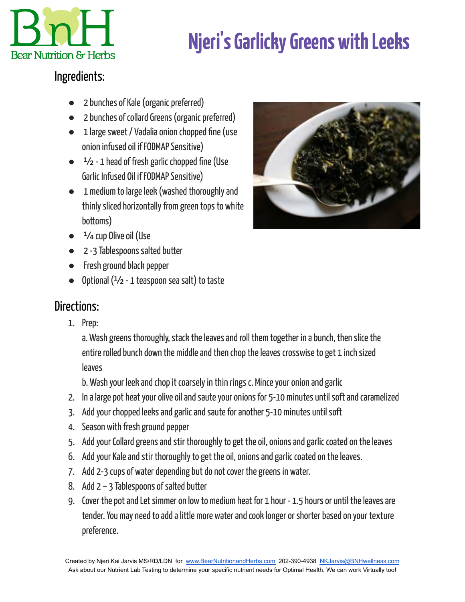

## **Njeri' sGarlickyGreens withLeeks**

## Ingredients:

- 2 bunches of Kale (organic preferred)
- 2 bunches of collard Greens (organic preferred)
- 1 large sweet / Vadalia onion chopped fine (use onion infused oil if FODMAP Sensitive)
- $\bullet$   $\frac{1}{2}$  1 head of fresh garlic chopped fine (Use Garlic Infused Oil if FODMAP Sensitive)
- 1 medium to large leek (washed thoroughly and thinly sliced horizontally from green tops to white bottoms)
- 

- $\bullet$   $\frac{1}{4}$  cup Olive oil (Use
- 2 -3 Tablespoons salted butter
- Fresh ground black pepper
- $\bullet$  Optional ( $\frac{1}{2}$  1 teaspoon sea salt) to taste

## Directions:

1. Prep:

a. Wash greens thoroughly, stack the leaves and roll them together in a bunch, then slice the entire rolled bunch down the middle and then chop the leaves crosswise to get 1 inch sized leaves

b. Wash your leek and chop it coarsely in thin rings c. Mince your onion and garlic

- 2. In a large pot heat your olive oil and saute your onions for 5-10 minutes until soft and caramelized
- 3. Add your chopped leeks and garlic and saute for another 5-10 minutes until soft
- 4. Season with fresh ground pepper
- 5. Add your Collard greens and stir thoroughly to get the oil, onions and garlic coated on the leaves
- 6. Add your Kale and stir thoroughly to get the oil, onions and garlic coated on the leaves.
- 7. Add 2-3 cups of water depending but do not cover the greens in water.
- 8. Add  $2 3$  Tablespoons of salted butter
- 9. Cover the pot and Let simmer on low to medium heat for 1 hour 1.5 hours or until the leaves are tender. You may need to add a little more water and cook longer or shorter based on your texture preference.